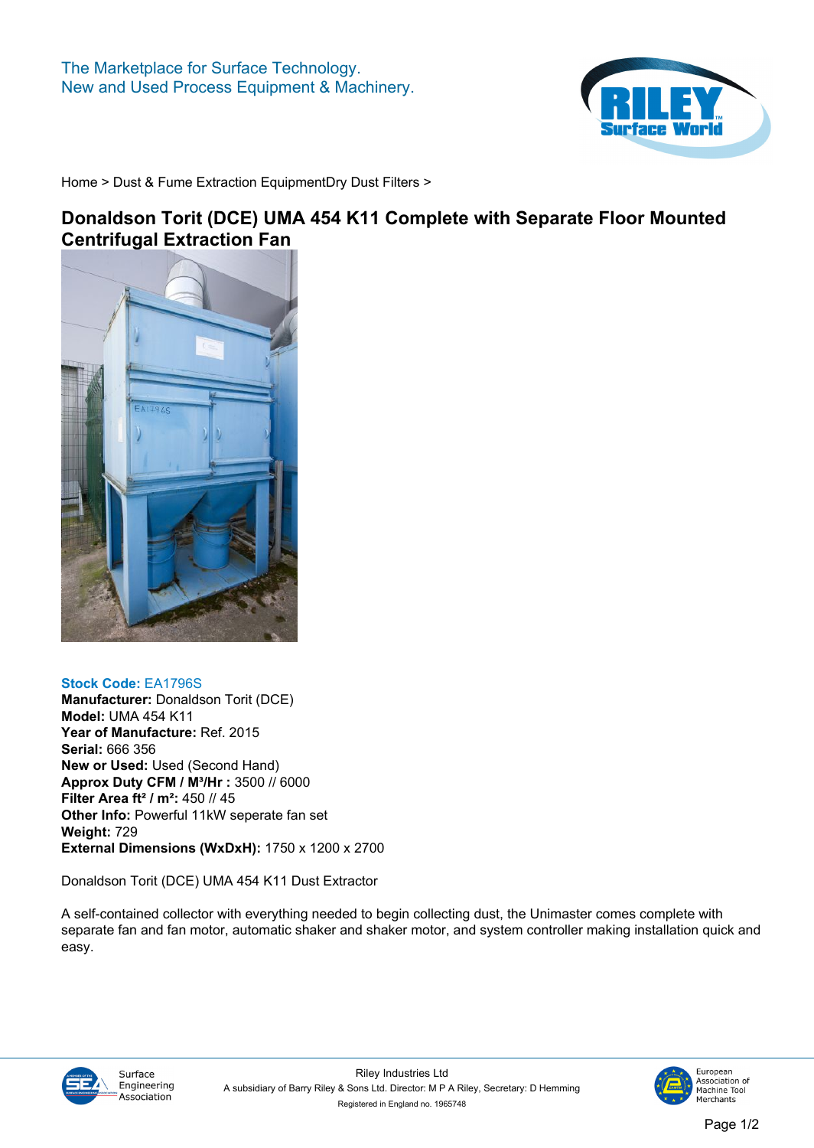

**[Home](https://www.rileysurfaceworld.co.uk) > [Dust & Fume Extraction Equipment](https://www.rileysurfaceworld.co.uk/dust-fume.asp)[Dry Dust Filters](https://www.rileysurfaceworld.co.uk/dust-dry.asp) >**

## **Donaldson Torit (DCE) UMA 454 K11 Complete with Separate Floor Mounted Centrifugal Extraction Fan**



## **Stock Code: EA1796S Manufacturer: Donaldson Torit (DCE) Model: UMA 454 K11 Year of Manufacture: Ref. 2015 Serial: 666 356 New or Used: Used (Second Hand) Approx Duty CFM / M³/Hr : 3500 // 6000 Filter Area ft² / m²: 450 // 45 Other Info: Powerful 11kW seperate fan set Weight: 729 External Dimensions (WxDxH): 1750 x 1200 x 2700**

**Donaldson Torit (DCE) UMA 454 K11 Dust Extractor**

**A self-contained collector with everything needed to begin collecting dust, the Unimaster comes complete with separate fan and fan motor, automatic shaker and shaker motor, and system controller making installation quick and easy.**